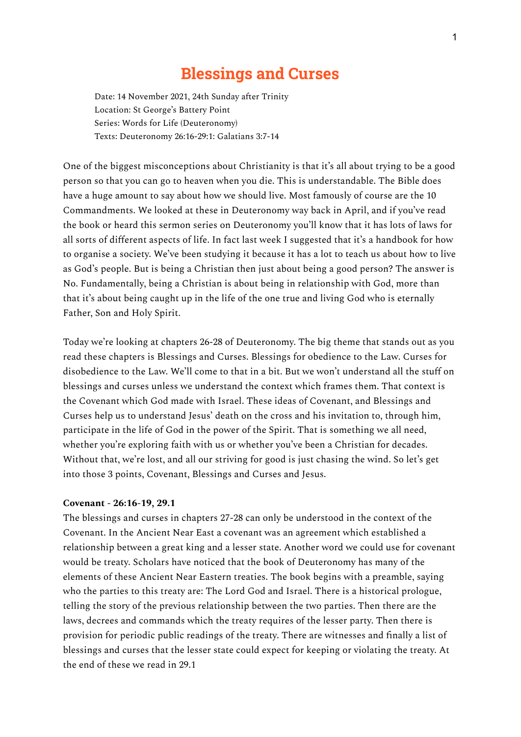## **Blessings and Curses**

Date: 14 November 2021, 24th Sunday after Trinity Location: St George's Battery Point Series: Words for Life (Deuteronomy) Texts: Deuteronomy 26:16-29:1: Galatians 3:7-14

One of the biggest misconceptions about Christianity is that it's all about trying to be a good person so that you can go to heaven when you die. This is understandable. The Bible does have a huge amount to say about how we should live. Most famously of course are the 10 Commandments. We looked at these in Deuteronomy way back in April, and if you've read the book or heard this sermon series on Deuteronomy you'll know that it has lots of laws for all sorts of different aspects of life. In fact last week I suggested that it's a handbook for how to organise a society. We've been studying it because it has a lot to teach us about how to live as God's people. But is being a Christian then just about being a good person? The answer is No. Fundamentally, being a Christian is about being in relationship with God, more than that it's about being caught up in the life of the one true and living God who is eternally Father, Son and Holy Spirit.

Today we're looking at chapters 26-28 of Deuteronomy. The big theme that stands out as you read these chapters is Blessings and Curses. Blessings for obedience to the Law. Curses for disobedience to the Law. We'll come to that in a bit. But we won't understand all the stuff on blessings and curses unless we understand the context which frames them. That context is the Covenant which God made with Israel. These ideas of Covenant, and Blessings and Curses help us to understand Jesus' death on the cross and his invitation to, through him, participate in the life of God in the power of the Spirit. That is something we all need, whether you're exploring faith with us or whether you've been a Christian for decades. Without that, we're lost, and all our striving for good is just chasing the wind. So let's get into those 3 points, Covenant, Blessings and Curses and Jesus.

## **Covenant - 26:16-19, 29.1**

The blessings and curses in chapters 27-28 can only be understood in the context of the Covenant. In the Ancient Near East a covenant was an agreement which established a relationship between a great king and a lesser state. Another word we could use for covenant would be treaty. Scholars have noticed that the book of Deuteronomy has many of the elements of these Ancient Near Eastern treaties. The book begins with a preamble, saying who the parties to this treaty are: The Lord God and Israel. There is a historical prologue, telling the story of the previous relationship between the two parties. Then there are the laws, decrees and commands which the treaty requires of the lesser party. Then there is provision for periodic public readings of the treaty. There are witnesses and finally a list of blessings and curses that the lesser state could expect for keeping or violating the treaty. At the end of these we read in 29.1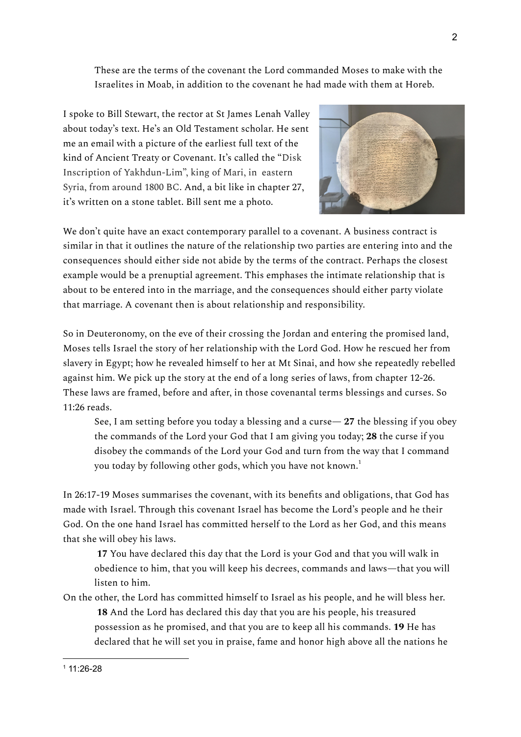These are the terms of the covenant the Lord commanded Moses to make with the Israelites in Moab, in addition to the covenant he had made with them at Horeb.

I spoke to Bill Stewart, the rector at St James Lenah Valley about today's text. He's an Old Testament scholar. He sent me an email with a picture of the earliest full text of the kind of Ancient Treaty or Covenant. It's called the "Disk Inscription of Yakhdun-Lim", king of Mari, in eastern Syria, from around 1800 BC. And, a bit like in chapter 27, it's written on a stone tablet. Bill sent me a photo.



We don't quite have an exact contemporary parallel to a covenant. A business contract is similar in that it outlines the nature of the relationship two parties are entering into and the consequences should either side not abide by the terms of the contract. Perhaps the closest example would be a prenuptial agreement. This emphases the intimate relationship that is about to be entered into in the marriage, and the consequences should either party violate that marriage. A covenant then is about relationship and responsibility.

So in Deuteronomy, on the eve of their crossing the Jordan and entering the promised land, Moses tells Israel the story of her relationship with the Lord God. How he rescued her from slavery in Egypt; how he revealed himself to her at Mt Sinai, and how she repeatedly rebelled against him. We pick up the story at the end of a long series of laws, from chapter 12-26. These laws are framed, before and after, in those covenantal terms blessings and curses. So 11:26 reads.

See, I am setting before you today a blessing and a curse— **27** the blessing if you obey the commands of the Lord your God that I am giving you today; **28** the curse if you disobey the commands of the Lord your God and turn from the way that I command you today by following other gods, which you have not known. $^{\rm 1}$ 

In 26:17-19 Moses summarises the covenant, with its benefits and obligations, that God has made with Israel. Through this covenant Israel has become the Lord's people and he their God. On the one hand Israel has committed herself to the Lord as her God, and this means that she will obey his laws.

**17** You have declared this day that the Lord is your God and that you will walk in obedience to him, that you will keep his decrees, commands and laws—that you will listen to him.

On the other, the Lord has committed himself to Israel as his people, and he will bless her. **18** And the Lord has declared this day that you are his people, his treasured possession as he promised, and that you are to keep all his commands. **19** He has declared that he will set you in praise, fame and honor high above all the nations he

 $11:26-28$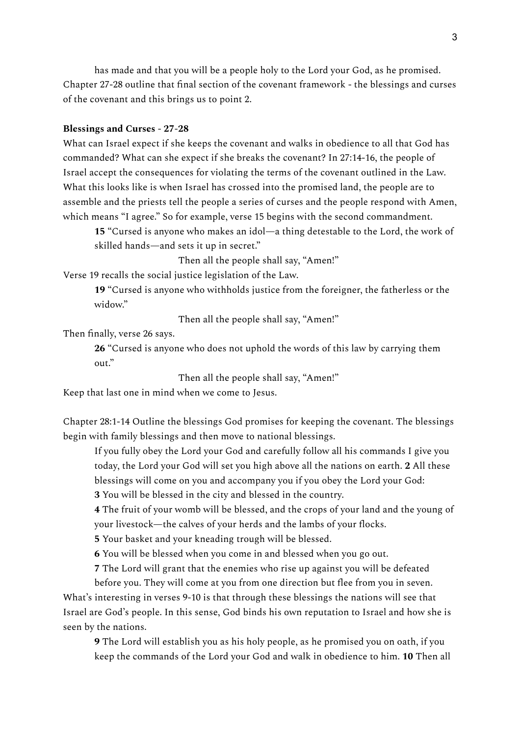has made and that you will be a people holy to the Lord your God, as he promised. Chapter 27-28 outline that final section of the covenant framework - the blessings and curses of the covenant and this brings us to point 2.

## **Blessings and Curses - 27-28**

What can Israel expect if she keeps the covenant and walks in obedience to all that God has commanded? What can she expect if she breaks the covenant? In 27:14-16, the people of Israel accept the consequences for violating the terms of the covenant outlined in the Law. What this looks like is when Israel has crossed into the promised land, the people are to assemble and the priests tell the people a series of curses and the people respond with Amen, which means "I agree." So for example, verse 15 begins with the second commandment.

**15** "Cursed is anyone who makes an idol—a thing detestable to the Lord, the work of skilled hands—and sets it up in secret."

Then all the people shall say, "Amen!"

Verse 19 recalls the social justice legislation of the Law.

**19** "Cursed is anyone who withholds justice from the foreigner, the fatherless or the widow."

Then all the people shall say, "Amen!"

Then finally, verse 26 says.

**26** "Cursed is anyone who does not uphold the words of this law by carrying them out."

Then all the people shall say, "Amen!"

Keep that last one in mind when we come to Jesus.

Chapter 28:1-14 Outline the blessings God promises for keeping the covenant. The blessings begin with family blessings and then move to national blessings.

If you fully obey the Lord your God and carefully follow all his commands I give you today, the Lord your God will set you high above all the nations on earth. **2** All these blessings will come on you and accompany you if you obey the Lord your God:

**3** You will be blessed in the city and blessed in the country.

**4** The fruit of your womb will be blessed, and the crops of your land and the young of your livestock—the calves of your herds and the lambs of your flocks.

**5** Your basket and your kneading trough will be blessed.

**6** You will be blessed when you come in and blessed when you go out.

**7** The Lord will grant that the enemies who rise up against you will be defeated

before you. They will come at you from one direction but flee from you in seven. What's interesting in verses 9-10 is that through these blessings the nations will see that Israel are God's people. In this sense, God binds his own reputation to Israel and how she is seen by the nations.

**9** The Lord will establish you as his holy people, as he promised you on oath, if you keep the commands of the Lord your God and walk in obedience to him. **10** Then all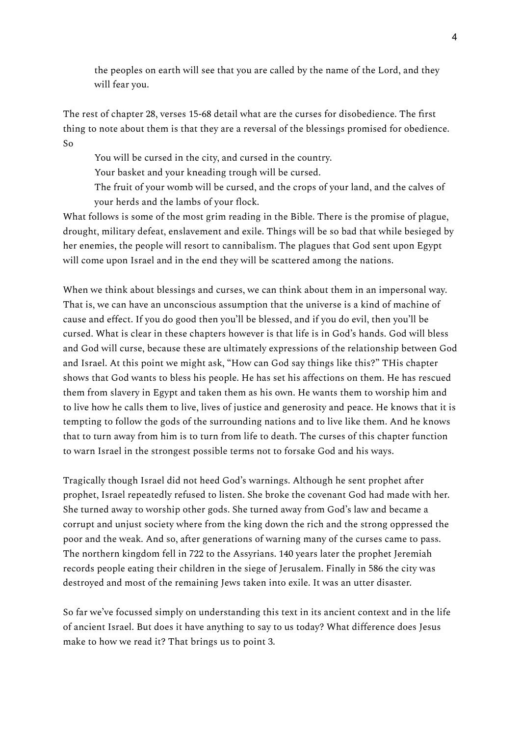the peoples on earth will see that you are called by the name of the Lord, and they will fear you.

The rest of chapter 28, verses 15-68 detail what are the curses for disobedience. The first thing to note about them is that they are a reversal of the blessings promised for obedience. So

You will be cursed in the city, and cursed in the country.

Your basket and your kneading trough will be cursed.

The fruit of your womb will be cursed, and the crops of your land, and the calves of your herds and the lambs of your flock.

What follows is some of the most grim reading in the Bible. There is the promise of plague, drought, military defeat, enslavement and exile. Things will be so bad that while besieged by her enemies, the people will resort to cannibalism. The plagues that God sent upon Egypt will come upon Israel and in the end they will be scattered among the nations.

When we think about blessings and curses, we can think about them in an impersonal way. That is, we can have an unconscious assumption that the universe is a kind of machine of cause and effect. If you do good then you'll be blessed, and if you do evil, then you'll be cursed. What is clear in these chapters however is that life is in God's hands. God will bless and God will curse, because these are ultimately expressions of the relationship between God and Israel. At this point we might ask, "How can God say things like this?" THis chapter shows that God wants to bless his people. He has set his affections on them. He has rescued them from slavery in Egypt and taken them as his own. He wants them to worship him and to live how he calls them to live, lives of justice and generosity and peace. He knows that it is tempting to follow the gods of the surrounding nations and to live like them. And he knows that to turn away from him is to turn from life to death. The curses of this chapter function to warn Israel in the strongest possible terms not to forsake God and his ways.

Tragically though Israel did not heed God's warnings. Although he sent prophet after prophet, Israel repeatedly refused to listen. She broke the covenant God had made with her. She turned away to worship other gods. She turned away from God's law and became a corrupt and unjust society where from the king down the rich and the strong oppressed the poor and the weak. And so, after generations of warning many of the curses came to pass. The northern kingdom fell in 722 to the Assyrians. 140 years later the prophet Jeremiah records people eating their children in the siege of Jerusalem. Finally in 586 the city was destroyed and most of the remaining Jews taken into exile. It was an utter disaster.

So far we've focussed simply on understanding this text in its ancient context and in the life of ancient Israel. But does it have anything to say to us today? What difference does Jesus make to how we read it? That brings us to point 3.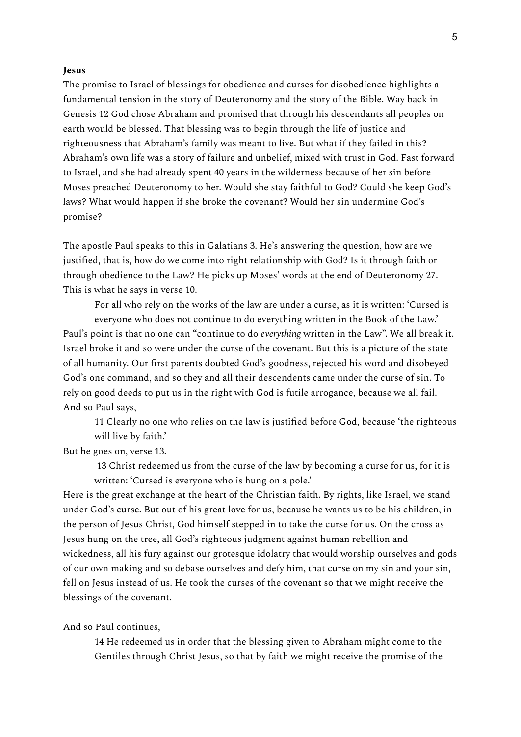## **Jesus**

The promise to Israel of blessings for obedience and curses for disobedience highlights a fundamental tension in the story of Deuteronomy and the story of the Bible. Way back in Genesis 12 God chose Abraham and promised that through his descendants all peoples on earth would be blessed. That blessing was to begin through the life of justice and righteousness that Abraham's family was meant to live. But what if they failed in this? Abraham's own life was a story of failure and unbelief, mixed with trust in God. Fast forward to Israel, and she had already spent 40 years in the wilderness because of her sin before Moses preached Deuteronomy to her. Would she stay faithful to God? Could she keep God's laws? What would happen if she broke the covenant? Would her sin undermine God's promise?

The apostle Paul speaks to this in Galatians 3. He's answering the question, how are we justified, that is, how do we come into right relationship with God? Is it through faith or through obedience to the Law? He picks up Moses' words at the end of Deuteronomy 27. This is what he says in verse 10.

For all who rely on the works of the law are under a curse, as it is written: 'Cursed is everyone who does not continue to do everything written in the Book of the Law.' Paul's point is that no one can "continue to do *everything* written in the Law". We all break it. Israel broke it and so were under the curse of the covenant. But this is a picture of the state of all humanity. Our first parents doubted God's goodness, rejected his word and disobeyed

God's one command, and so they and all their descendents came under the curse of sin. To rely on good deeds to put us in the right with God is futile arrogance, because we all fail. And so Paul says,

11 Clearly no one who relies on the law is justified before God, because 'the righteous will live by faith.'

But he goes on, verse 13.

13 Christ redeemed us from the curse of the law by becoming a curse for us, for it is written: 'Cursed is everyone who is hung on a pole.'

Here is the great exchange at the heart of the Christian faith. By rights, like Israel, we stand under God's curse. But out of his great love for us, because he wants us to be his children, in the person of Jesus Christ, God himself stepped in to take the curse for us. On the cross as Jesus hung on the tree, all God's righteous judgment against human rebellion and wickedness, all his fury against our grotesque idolatry that would worship ourselves and gods of our own making and so debase ourselves and defy him, that curse on my sin and your sin, fell on Jesus instead of us. He took the curses of the covenant so that we might receive the blessings of the covenant.

And so Paul continues,

14 He redeemed us in order that the blessing given to Abraham might come to the Gentiles through Christ Jesus, so that by faith we might receive the promise of the